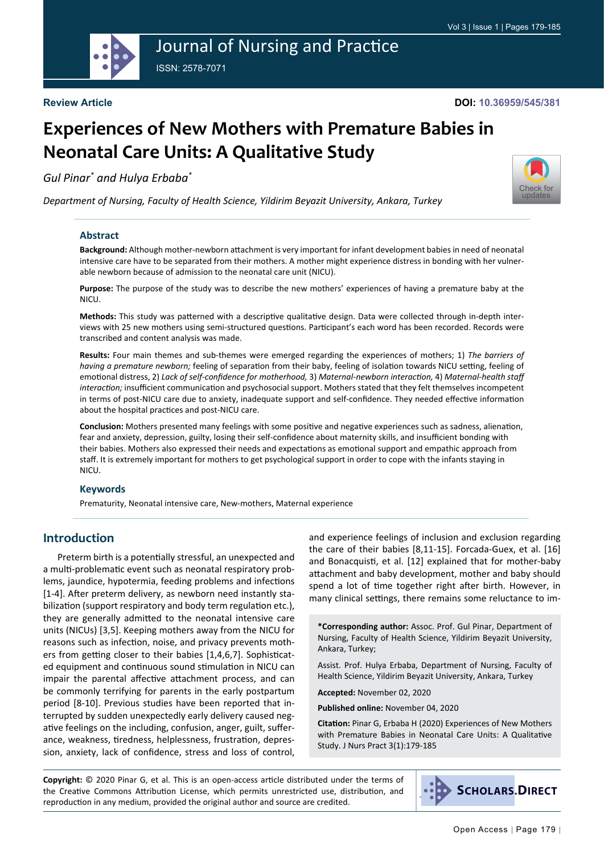

# Journal of Nursing and Practice ISSN: 2578-7071

**Review Article**

#### **DOI: 10.36959/545/381**

[Check for](http://crossmark.crossref.org/dialog/?doi=10.36959/545/381&domain=pdf) updates

# **Experiences of New Mothers with Premature Babies in Neonatal Care Units: A Qualitative Study**

*Gul Pinar\* and Hulya Erbaba\**

*Department of Nursing, Faculty of Health Science, Yildirim Beyazit University, Ankara, Turkey*

#### **Abstract**

**Background:** Although mother-newborn attachment is very important for infant development babies in need of neonatal intensive care have to be separated from their mothers. A mother might experience distress in bonding with her vulnerable newborn because of admission to the neonatal care unit (NICU).

**Purpose:** The purpose of the study was to describe the new mothers' experiences of having a premature baby at the NICU.

**Methods:** This study was patterned with a descriptive qualitative design. Data were collected through in-depth interviews with 25 new mothers using semi-structured questions. Participant's each word has been recorded. Records were transcribed and content analysis was made.

**Results:** Four main themes and sub-themes were emerged regarding the experiences of mothers; 1) *The barriers of having a premature newborn;* feeling of separation from their baby, feeling of isolation towards NICU setting, feeling of emotional distress, 2) *Lack of self-confidence for motherhood,* 3) *Maternal-newborn interaction,* 4) *Maternal-health staff interaction;* insufficient communication and psychosocial support. Mothers stated that they felt themselves incompetent in terms of post-NICU care due to anxiety, inadequate support and self-confidence. They needed effective information about the hospital practices and post-NICU care.

**Conclusion:** Mothers presented many feelings with some positive and negative experiences such as sadness, alienation, fear and anxiety, depression, guilty, losing their self-confidence about maternity skills, and insufficient bonding with their babies. Mothers also expressed their needs and expectations as emotional support and empathic approach from staff. It is extremely important for mothers to get psychological support in order to cope with the infants staying in NICU.

#### **Keywords**

Prematurity, Neonatal intensive care, New-mothers, Maternal experience

## **Introduction**

Preterm birth is a potentially stressful, an unexpected and a multi-problematic event such as neonatal respiratory problems, jaundice, hypotermia, feeding problems and infections [1-4]. After preterm delivery, as newborn need instantly stabilization (support respiratory and body term regulation etc.), they are generally admitted to the neonatal intensive care units (NICUs) [3,5]. Keeping mothers away from the NICU for reasons such as infection, noise, and privacy prevents mothers from getting closer to their babies [1,4,6,7]. Sophisticated equipment and continuous sound stimulation in NICU can impair the parental affective attachment process, and can be commonly terrifying for parents in the early postpartum period [8-10]. Previous studies have been reported that interrupted by sudden unexpectedly early delivery caused negative feelings on the including, confusion, anger, guilt, sufferance, weakness, tiredness, helplessness, frustration, depression, anxiety, lack of confidence, stress and loss of control,

and experience feelings of inclusion and exclusion regarding the care of their babies [8,11-15]. Forcada-Guex, et al. [16] and Bonacquisti, et al. [12] explained that for mother-baby attachment and baby development, mother and baby should spend a lot of time together right after birth. However, in many clinical settings, there remains some reluctance to im-

**\*Corresponding author:** Assoc. Prof. Gul Pinar, Department of Nursing, Faculty of Health Science, Yildirim Beyazit University, Ankara, Turkey;

Assist. Prof. Hulya Erbaba, Department of Nursing, Faculty of Health Science, Yildirim Beyazit University, Ankara, Turkey

**Accepted:** November 02, 2020

**Published online:** November 04, 2020

**Citation:** Pinar G, Erbaba H (2020) Experiences of New Mothers with Premature Babies in Neonatal Care Units: A Qualitative Study. J Nurs Pract 3(1):179-185

**Copyright:** © 2020 Pinar G, et al. This is an open-access article distributed under the terms of the Creative Commons Attribution License, which permits unrestricted use, distribution, and reproduction in any medium, provided the original author and source are credited.

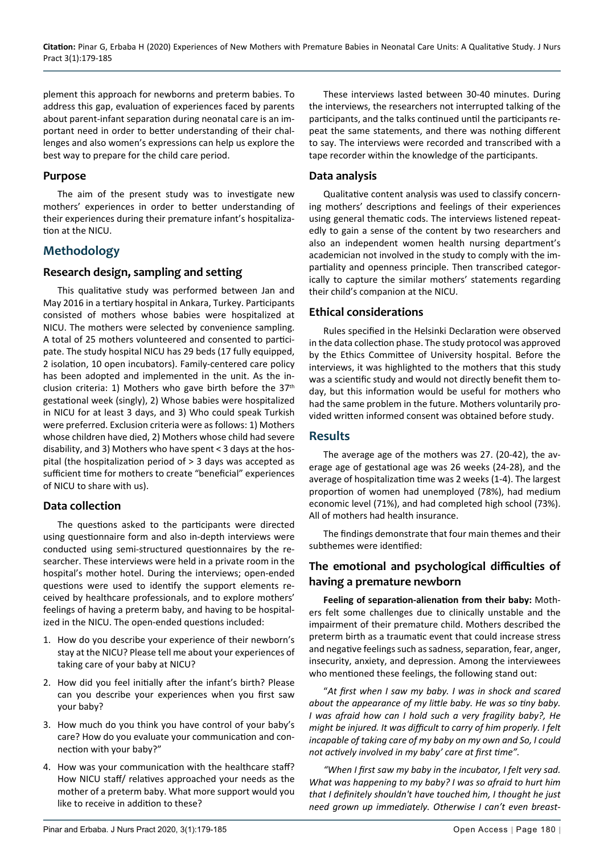plement this approach for newborns and preterm babies. To address this gap, evaluation of experiences faced by parents about parent-infant separation during neonatal care is an important need in order to better understanding of their challenges and also women's expressions can help us explore the best way to prepare for the child care period.

#### **Purpose**

The aim of the present study was to investigate new mothers' experiences in order to better understanding of their experiences during their premature infant's hospitalization at the NICU.

## **Methodology**

## **Research design, sampling and setting**

This qualitative study was performed between Jan and May 2016 in a tertiary hospital in Ankara, Turkey. Participants consisted of mothers whose babies were hospitalized at NICU. The mothers were selected by convenience sampling. A total of 25 mothers volunteered and consented to participate. The study hospital NICU has 29 beds (17 fully equipped, 2 isolation, 10 open incubators). Family-centered care policy has been adopted and implemented in the unit. As the inclusion criteria: 1) Mothers who gave birth before the  $37<sup>th</sup>$ gestational week (singly), 2) Whose babies were hospitalized in NICU for at least 3 days, and 3) Who could speak Turkish were preferred. Exclusion criteria were as follows: 1) Mothers whose children have died, 2) Mothers whose child had severe disability, and 3) Mothers who have spent < 3 days at the hospital (the hospitalization period of > 3 days was accepted as sufficient time for mothers to create "beneficial" experiences of NICU to share with us).

## **Data collection**

The questions asked to the participants were directed using questionnaire form and also in-depth interviews were conducted using semi-structured questionnaires by the researcher. These interviews were held in a private room in the hospital's mother hotel. During the interviews; open-ended questions were used to identify the support elements received by healthcare professionals, and to explore mothers' feelings of having a preterm baby, and having to be hospitalized in the NICU. The open-ended questions included:

- 1. How do you describe your experience of their newborn's stay at the NICU? Please tell me about your experiences of taking care of your baby at NICU?
- 2. How did you feel initially after the infant's birth? Please can you describe your experiences when you first saw your baby?
- 3. How much do you think you have control of your baby's care? How do you evaluate your communication and connection with your baby?"
- 4. How was your communication with the healthcare staff? How NICU staff/ relatives approached your needs as the mother of a preterm baby. What more support would you like to receive in addition to these?

These interviews lasted between 30-40 minutes. During the interviews, the researchers not interrupted talking of the participants, and the talks continued until the participants repeat the same statements, and there was nothing different to say. The interviews were recorded and transcribed with a tape recorder within the knowledge of the participants.

### **Data analysis**

Qualitative content analysis was used to classify concerning mothers' descriptions and feelings of their experiences using general thematic cods. The interviews listened repeatedly to gain a sense of the content by two researchers and also an independent women health nursing department's academician not involved in the study to comply with the impartiality and openness principle. Then transcribed categorically to capture the similar mothers' statements regarding their child's companion at the NICU.

## **Ethical considerations**

Rules specified in the Helsinki Declaration were observed in the data collection phase. The study protocol was approved by the Ethics Committee of University hospital. Before the interviews, it was highlighted to the mothers that this study was a scientific study and would not directly benefit them today, but this information would be useful for mothers who had the same problem in the future. Mothers voluntarily provided written informed consent was obtained before study.

## **Results**

The average age of the mothers was 27. (20-42), the average age of gestational age was 26 weeks (24-28), and the average of hospitalization time was 2 weeks (1-4). The largest proportion of women had unemployed (78%), had medium economic level (71%), and had completed high school (73%). All of mothers had health insurance.

The findings demonstrate that four main themes and their subthemes were identified:

## **The emotional and psychological difficulties of having a premature newborn**

**Feeling of separation-alienation from their baby:** Mothers felt some challenges due to clinically unstable and the impairment of their premature child. Mothers described the preterm birth as a traumatic event that could increase stress and negative feelings such as sadness, separation, fear, anger, insecurity, anxiety, and depression. Among the interviewees who mentioned these feelings, the following stand out:

"*At first when I saw my baby. I was in shock and scared about the appearance of my little baby. He was so tiny baby. I was afraid how can I hold such a very fragility baby?, He might be injured. It was difficult to carry of him properly. I felt incapable of taking care of my baby on my own and So, I could not actively involved in my baby' care at first time".*

*"When I first saw my baby in the incubator, I felt very sad. What was happening to my baby? I was so afraid to hurt him that I definitely shouldn't have touched him, I thought he just need grown up immediately. Otherwise I can't even breast-*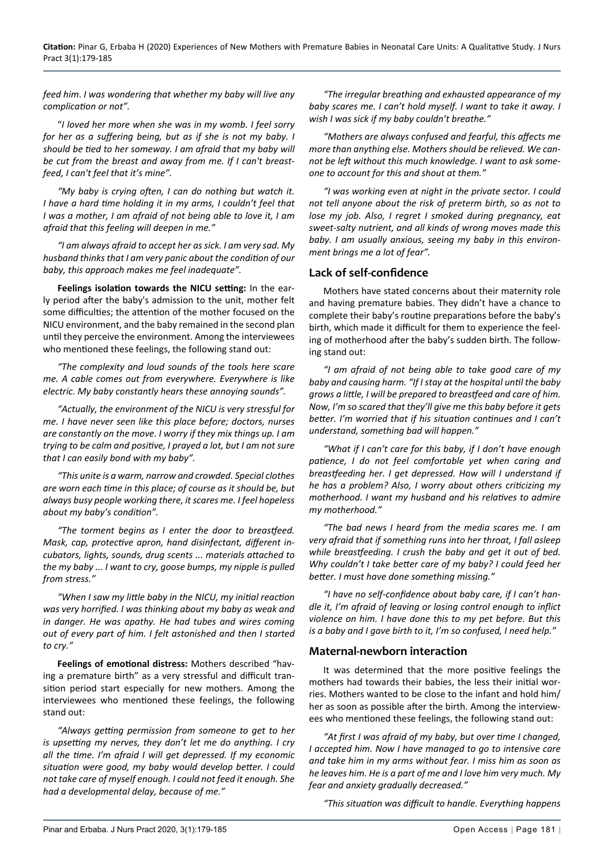*feed him*. *I was wondering that whether my baby will live any complication or not".*

"*I loved her more when she was in my womb. I feel sorry for her as a suffering being, but as if she is not my baby. I should be tied to her someway. I am afraid that my baby will be cut from the breast and away from me. If I can't breastfeed, I can't feel that it's mine".*

*"My baby is crying often, I can do nothing but watch it. I have a hard time holding it in my arms, I couldn't feel that I was a mother, I am afraid of not being able to love it, I am afraid that this feeling will deepen in me."*

*"I am always afraid to accept her as sick. I am very sad. My husband thinks that I am very panic about the condition of our baby, this approach makes me feel inadequate".*

**Feelings isolation towards the NICU setting:** In the early period after the baby's admission to the unit, mother felt some difficulties; the attention of the mother focused on the NICU environment, and the baby remained in the second plan until they perceive the environment. Among the interviewees who mentioned these feelings, the following stand out:

*"The complexity and loud sounds of the tools here scare me. A cable comes out from everywhere. Everywhere is like electric. My baby constantly hears these annoying sounds".*

*"Actually, the environment of the NICU is very stressful for me. I have never seen like this place before; doctors, nurses are constantly on the move. I worry if they mix things up. I am trying to be calm and positive, I prayed a lot, but I am not sure that I can easily bond with my baby".*

*"This unite is a warm, narrow and crowded. Special clothes are worn each time in this place; of course as it should be, but always busy people working there, it scares me. I feel hopeless about my baby's condition".*

*"The torment begins as I enter the door to breastfeed. Mask, cap, protective apron, hand disinfectant, different incubators, lights, sounds, drug scents ... materials attached to the my baby ... I want to cry, goose bumps, my nipple is pulled from stress."*

*"When I saw my little baby in the NICU, my initial reaction was very horrified. I was thinking about my baby as weak and in danger. He was apathy. He had tubes and wires coming out of every part of him. I felt astonished and then I started to cry."*

**Feelings of emotional distress:** Mothers described "having a premature birth" as a very stressful and difficult transition period start especially for new mothers. Among the interviewees who mentioned these feelings, the following stand out:

*"Always getting permission from someone to get to her is upsetting my nerves, they don't let me do anything. I cry all the time. I'm afraid I will get depressed. If my economic situation were good, my baby would develop better. I could not take care of myself enough. I could not feed it enough. She had a developmental delay, because of me."*

*"The irregular breathing and exhausted appearance of my baby scares me. I can't hold myself. I want to take it away. I wish I was sick if my baby couldn't breathe."*

*"Mothers are always confused and fearful, this affects me more than anything else. Mothers should be relieved. We cannot be left without this much knowledge. I want to ask someone to account for this and shout at them."*

*"I was working even at night in the private sector. I could not tell anyone about the risk of preterm birth, so as not to lose my job. Also, I regret I smoked during pregnancy, eat sweet-salty nutrient, and all kinds of wrong moves made this baby. I am usually anxious, seeing my baby in this environment brings me a lot of fear".*

#### **Lack of self-confidence**

Mothers have stated concerns about their maternity role and having premature babies. They didn't have a chance to complete their baby's routine preparations before the baby's birth, which made it difficult for them to experience the feeling of motherhood after the baby's sudden birth. The following stand out:

*"I am afraid of not being able to take good care of my baby and causing harm. "If I stay at the hospital until the baby grows a little, I will be prepared to breastfeed and care of him. Now, I'm so scared that they'll give me this baby before it gets better. I'm worried that if his situation continues and I can't understand, something bad will happen."*

*"What if I can't care for this baby, if I don't have enough patience, I do not feel comfortable yet when caring and breastfeeding her. I get depressed. How will I understand if he has a problem? Also, I worry about others criticizing my motherhood. I want my husband and his relatives to admire my motherhood."*

*"The bad news I heard from the media scares me. I am very afraid that if something runs into her throat, I fall asleep while breastfeeding. I crush the baby and get it out of bed. Why couldn't I take better care of my baby? I could feed her better. I must have done something missing."*

*"I have no self-confidence about baby care, if I can't handle it, I'm afraid of leaving or losing control enough to inflict violence on him. I have done this to my pet before. But this is a baby and I gave birth to it, I'm so confused, I need help."*

#### **Maternal-newborn interaction**

It was determined that the more positive feelings the mothers had towards their babies, the less their initial worries. Mothers wanted to be close to the infant and hold him/ her as soon as possible after the birth. Among the interviewees who mentioned these feelings, the following stand out:

*"At first I was afraid of my baby, but over time I changed, I accepted him. Now I have managed to go to intensive care and take him in my arms without fear. I miss him as soon as he leaves him. He is a part of me and I love him very much. My fear and anxiety gradually decreased."*

*"This situation was difficult to handle. Everything happens*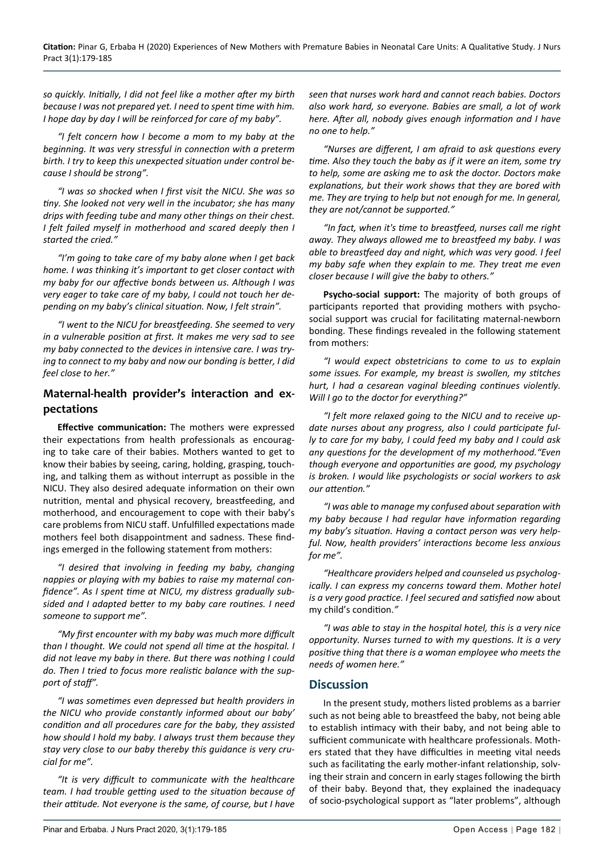*so quickly. Initially, I did not feel like a mother after my birth because I was not prepared yet. I need to spent time with him. I hope day by day I will be reinforced for care of my baby".*

*"I felt concern how I become a mom to my baby at the beginning. It was very stressful in connection with a preterm birth. I try to keep this unexpected situation under control because I should be strong".*

*"I was so shocked when I first visit the NICU. She was so tiny. She looked not very well in the incubator; she has many drips with feeding tube and many other things on their chest. I felt failed myself in motherhood and scared deeply then I started the cried."*

*"I'm going to take care of my baby alone when I get back home. I was thinking it's important to get closer contact with my baby for our affective bonds between us. Although I was very eager to take care of my baby, I could not touch her depending on my baby's clinical situation. Now, I felt strain".*

*"I went to the NICU for breastfeeding. She seemed to very in a vulnerable position at first. It makes me very sad to see my baby connected to the devices in intensive care. I was trying to connect to my baby and now our bonding is better, I did feel close to her."*

## **Maternal-health provider's interaction and expectations**

**Effective communication:** The mothers were expressed their expectations from health professionals as encouraging to take care of their babies. Mothers wanted to get to know their babies by seeing, caring, holding, grasping, touching, and talking them as without interrupt as possible in the NICU. They also desired adequate information on their own nutrition, mental and physical recovery, breastfeeding, and motherhood, and encouragement to cope with their baby's care problems from NICU staff. Unfulfilled expectations made mothers feel both disappointment and sadness. These findings emerged in the following statement from mothers:

*"I desired that involving in feeding my baby, changing nappies or playing with my babies to raise my maternal confidence". As I spent time at NICU, my distress gradually subsided and I adapted better to my baby care routines. I need someone to support me".*

*"My first encounter with my baby was much more difficult than I thought. We could not spend all time at the hospital. I did not leave my baby in there. But there was nothing I could do. Then I tried to focus more realistic balance with the support of staff".*

*"I was sometimes even depressed but health providers in the NICU who provide constantly informed about our baby' condition and all procedures care for the baby, they assisted how should I hold my baby. I always trust them because they stay very close to our baby thereby this guidance is very crucial for me".*

*"It is very difficult to communicate with the healthcare team. I had trouble getting used to the situation because of their attitude. Not everyone is the same, of course, but I have* 

*seen that nurses work hard and cannot reach babies. Doctors also work hard, so everyone. Babies are small, a lot of work here. After all, nobody gives enough information and I have no one to help."*

*"Nurses are different, I am afraid to ask questions every time. Also they touch the baby as if it were an item, some try to help, some are asking me to ask the doctor. Doctors make explanations, but their work shows that they are bored with me. They are trying to help but not enough for me. In general, they are not/cannot be supported."*

*"In fact, when it's time to breastfeed, nurses call me right away. They always allowed me to breastfeed my baby. I was able to breastfeed day and night, which was very good. I feel my baby safe when they explain to me. They treat me even closer because I will give the baby to others."*

**Psycho-social support:** The majority of both groups of participants reported that providing mothers with psychosocial support was crucial for facilitating maternal-newborn bonding. These findings revealed in the following statement from mothers:

*"I would expect obstetricians to come to us to explain some issues. For example, my breast is swollen, my stitches hurt, I had a cesarean vaginal bleeding continues violently. Will I go to the doctor for everything?"*

*"I felt more relaxed going to the NICU and to receive update nurses about any progress, also I could participate fully to care for my baby, I could feed my baby and I could ask any questions for the development of my motherhood."Even though everyone and opportunities are good, my psychology is broken. I would like psychologists or social workers to ask our attention."*

*"I was able to manage my confused about separation with my baby because I had regular have information regarding my baby's situation. Having a contact person was very helpful. Now, health providers' interactions become less anxious for me".*

*"Healthcare providers helped and counseled us psychologically. I can express my concerns toward them. Mother hotel is a very good practice. I feel secured and satisfied now* about my child's condition.*"*

*"I was able to stay in the hospital hotel, this is a very nice opportunity. Nurses turned to with my questions. It is a very positive thing that there is a woman employee who meets the needs of women here."*

## **Discussion**

In the present study, mothers listed problems as a barrier such as not being able to breastfeed the baby, not being able to establish intimacy with their baby, and not being able to sufficient communicate with healthcare professionals. Mothers stated that they have difficulties in meeting vital needs such as facilitating the early mother-infant relationship, solving their strain and concern in early stages following the birth of their baby. Beyond that, they explained the inadequacy of socio-psychological support as "later problems", although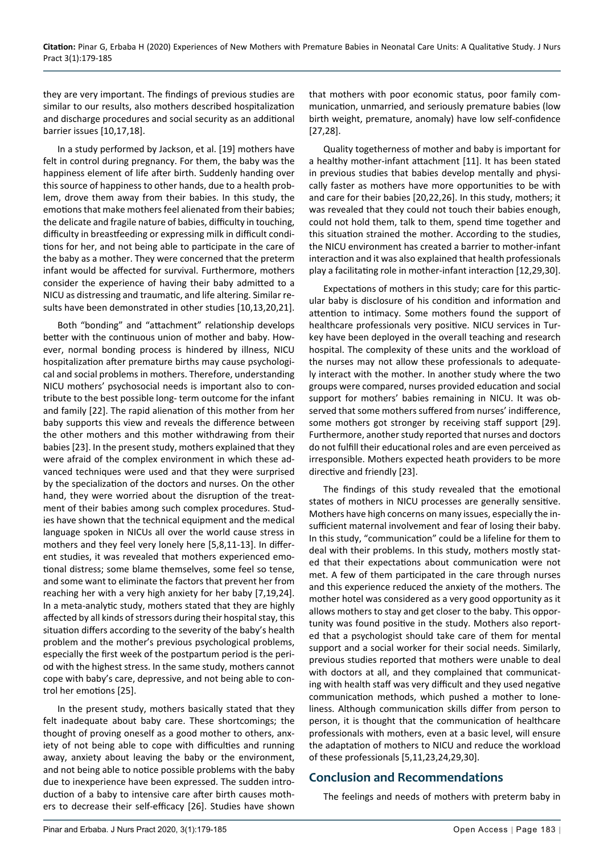they are very important. The findings of previous studies are similar to our results, also mothers described hospitalization and discharge procedures and social security as an additional barrier issues [10,17,18].

In a study performed by Jackson, et al. [19] mothers have felt in control during pregnancy. For them, the baby was the happiness element of life after birth. Suddenly handing over this source of happiness to other hands, due to a health problem, drove them away from their babies. In this study, the emotions that make mothers feel alienated from their babies; the delicate and fragile nature of babies, difficulty in touching, difficulty in breastfeeding or expressing milk in difficult conditions for her, and not being able to participate in the care of the baby as a mother. They were concerned that the preterm infant would be affected for survival. Furthermore, mothers consider the experience of having their baby admitted to a NICU as distressing and traumatic, and life altering. Similar results have been demonstrated in other studies [10,13,20,21].

Both "bonding" and "attachment" relationship develops better with the continuous union of mother and baby. However, normal bonding process is hindered by illness, NICU hospitalization after premature births may cause psychological and social problems in mothers. Therefore, understanding NICU mothers' psychosocial needs is important also to contribute to the best possible long- term outcome for the infant and family [22]. The rapid alienation of this mother from her baby supports this view and reveals the difference between the other mothers and this mother withdrawing from their babies [23]. In the present study, mothers explained that they were afraid of the complex environment in which these advanced techniques were used and that they were surprised by the specialization of the doctors and nurses. On the other hand, they were worried about the disruption of the treatment of their babies among such complex procedures. Studies have shown that the technical equipment and the medical language spoken in NICUs all over the world cause stress in mothers and they feel very lonely here [5,8,11-13]. In different studies, it was revealed that mothers experienced emotional distress; some blame themselves, some feel so tense, and some want to eliminate the factors that prevent her from reaching her with a very high anxiety for her baby [7,19,24]. In a meta-analytic study, mothers stated that they are highly affected by all kinds of stressors during their hospital stay, this situation differs according to the severity of the baby's health problem and the mother's previous psychological problems, especially the first week of the postpartum period is the period with the highest stress. In the same study, mothers cannot cope with baby's care, depressive, and not being able to control her emotions [25].

In the present study, mothers basically stated that they felt inadequate about baby care. These shortcomings; the thought of proving oneself as a good mother to others, anxiety of not being able to cope with difficulties and running away, anxiety about leaving the baby or the environment, and not being able to notice possible problems with the baby due to inexperience have been expressed. The sudden introduction of a baby to intensive care after birth causes mothers to decrease their self-efficacy [26]. Studies have shown that mothers with poor economic status, poor family communication, unmarried, and seriously premature babies (low birth weight, premature, anomaly) have low self-confidence [27,28].

Quality togetherness of mother and baby is important for a healthy mother-infant attachment [11]. It has been stated in previous studies that babies develop mentally and physically faster as mothers have more opportunities to be with and care for their babies [20,22,26]. In this study, mothers; it was revealed that they could not touch their babies enough, could not hold them, talk to them, spend time together and this situation strained the mother. According to the studies, the NICU environment has created a barrier to mother-infant interaction and it was also explained that health professionals play a facilitating role in mother-infant interaction [12,29,30].

Expectations of mothers in this study; care for this particular baby is disclosure of his condition and information and attention to intimacy. Some mothers found the support of healthcare professionals very positive. NICU services in Turkey have been deployed in the overall teaching and research hospital. The complexity of these units and the workload of the nurses may not allow these professionals to adequately interact with the mother. In another study where the two groups were compared, nurses provided education and social support for mothers' babies remaining in NICU. It was observed that some mothers suffered from nurses' indifference, some mothers got stronger by receiving staff support [29]. Furthermore, another study reported that nurses and doctors do not fulfill their educational roles and are even perceived as irresponsible. Mothers expected heath providers to be more directive and friendly [23].

The findings of this study revealed that the emotional states of mothers in NICU processes are generally sensitive. Mothers have high concerns on many issues, especially the insufficient maternal involvement and fear of losing their baby. In this study, "communication" could be a lifeline for them to deal with their problems. In this study, mothers mostly stated that their expectations about communication were not met. A few of them participated in the care through nurses and this experience reduced the anxiety of the mothers. The mother hotel was considered as a very good opportunity as it allows mothers to stay and get closer to the baby. This opportunity was found positive in the study. Mothers also reported that a psychologist should take care of them for mental support and a social worker for their social needs. Similarly, previous studies reported that mothers were unable to deal with doctors at all, and they complained that communicating with health staff was very difficult and they used negative communication methods, which pushed a mother to loneliness. Although communication skills differ from person to person, it is thought that the communication of healthcare professionals with mothers, even at a basic level, will ensure the adaptation of mothers to NICU and reduce the workload of these professionals [5,11,23,24,29,30].

## **Conclusion and Recommendations**

The feelings and needs of mothers with preterm baby in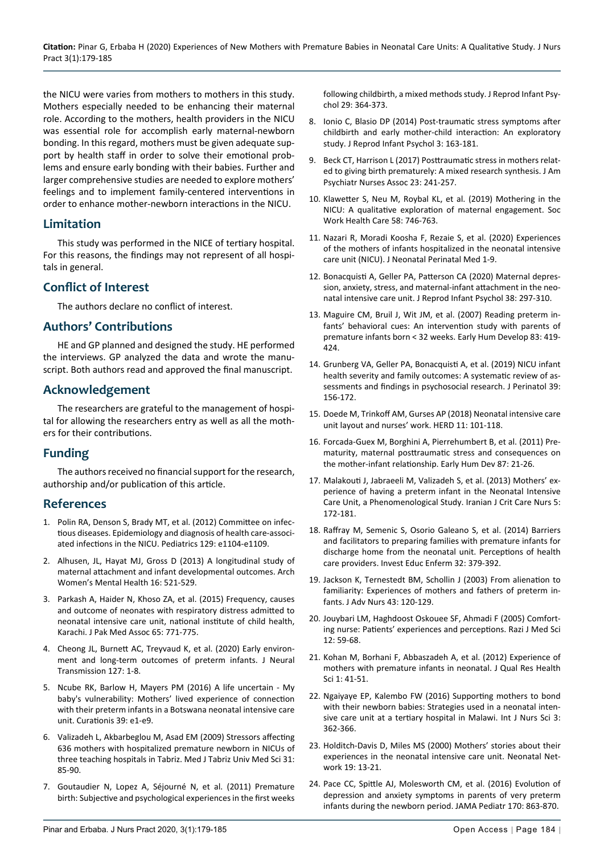the NICU were varies from mothers to mothers in this study. Mothers especially needed to be enhancing their maternal role. According to the mothers, health providers in the NICU was essential role for accomplish early maternal-newborn bonding. In this regard, mothers must be given adequate support by health staff in order to solve their emotional problems and ensure early bonding with their babies. Further and larger comprehensive studies are needed to explore mothers' feelings and to implement family-centered interventions in order to enhance mother-newborn interactions in the NICU.

## **Limitation**

This study was performed in the NICE of tertiary hospital. For this reasons, the findings may not represent of all hospitals in general.

## **Conflict of Interest**

The authors declare no conflict of interest.

## **Authors' Contributions**

HE and GP planned and designed the study. HE performed the interviews. GP analyzed the data and wrote the manuscript. Both authors read and approved the final manuscript.

## **Acknowledgement**

The researchers are grateful to the management of hospital for allowing the researchers entry as well as all the mothers for their contributions.

## **Funding**

The authors received no financial support for the research, authorship and/or publication of this article.

## **References**

- 1. [Polin RA, Denson S, Brady MT, et al. \(2012\) Committee on infec](https://pubmed.ncbi.nlm.nih.gov/22451708/)[tious diseases. Epidemiology and diagnosis of health care-associ](https://pubmed.ncbi.nlm.nih.gov/22451708/)ated infections in the NICU. [Pediatrics 129: e1104-e1109.](https://pubmed.ncbi.nlm.nih.gov/22451708/)
- 2. [Alhusen, JL, Hayat MJ, Gross D \(2013\) A longitudinal study of](https://pubmed.ncbi.nlm.nih.gov/23737011/)  [maternal attachment and infant developmental outcomes. Arch](https://pubmed.ncbi.nlm.nih.gov/23737011/)  [Women's Mental Health](https://pubmed.ncbi.nlm.nih.gov/23737011/) 16: 521-529.
- 3. [Parkash A, Haider N, Khoso ZA, et al. \(2015\) Frequency, causes](https://pubmed.ncbi.nlm.nih.gov/26160089/)  [and outcome of neonates with respiratory distress admitted to](https://pubmed.ncbi.nlm.nih.gov/26160089/)  [neonatal intensive care unit, national institute of child health,](https://pubmed.ncbi.nlm.nih.gov/26160089/)  Karachi. [J Pak Med Assoc](https://pubmed.ncbi.nlm.nih.gov/26160089/) 65: 771-775.
- 4. [Cheong JL, Burnett AC, Treyvaud K, et al. \(2020\) Early environ](https://pubmed.ncbi.nlm.nih.gov/31863172/)[ment and long-term outcomes of preterm infants.](https://pubmed.ncbi.nlm.nih.gov/31863172/) J Neural [Transmission 127: 1-8.](https://pubmed.ncbi.nlm.nih.gov/31863172/)
- 5. [Ncube RK, Barlow H, Mayers PM \(2016\) A life uncertain My](https://pubmed.ncbi.nlm.nih.gov/27609332/)  [baby's vulnerability: Mothers' lived experience of connection](https://pubmed.ncbi.nlm.nih.gov/27609332/)  [with their preterm infants in a Botswana neonatal intensive care](https://pubmed.ncbi.nlm.nih.gov/27609332/)  unit. [Curationis](https://pubmed.ncbi.nlm.nih.gov/27609332/) 39: e1-e9.
- 6. [Valizadeh L, Akbarbeglou M, Asad EM \(2009\) Stressors affecting](https://www.sid.ir/en/Journal/ViewPaper.aspx?ID=167275)  [636 mothers with hospitalized premature newborn in NICUs of](https://www.sid.ir/en/Journal/ViewPaper.aspx?ID=167275)  [three teaching hospitals in Tabriz. Med J Tabriz Univ Med Sci 31:](https://www.sid.ir/en/Journal/ViewPaper.aspx?ID=167275)  [85-90.](https://www.sid.ir/en/Journal/ViewPaper.aspx?ID=167275)
- 7. [Goutaudier N, Lopez A, Séjourné N, et al. \(2011\) Premature](https://www.tandfonline.com/doi/abs/10.1080/02646838.2011.623227)  [birth: Subjective and psychological experiences in the first weeks](https://www.tandfonline.com/doi/abs/10.1080/02646838.2011.623227)

[following childbirth, a mixed methods study. J Reprod Infant Psy](https://www.tandfonline.com/doi/abs/10.1080/02646838.2011.623227)[chol 29: 364-373.](https://www.tandfonline.com/doi/abs/10.1080/02646838.2011.623227)

- 8. Ionio C, Blasio DP (2014) [Post-traumatic stress symptoms after](https://www.tandfonline.com/doi/abs/10.1080/02646838.2013.841880?journalCode=cjri20)  [childbirth and early mother-child interaction: An exploratory](https://www.tandfonline.com/doi/abs/10.1080/02646838.2013.841880?journalCode=cjri20)  study. [J Reprod Infant Psychol 3: 163-181.](https://www.tandfonline.com/doi/abs/10.1080/02646838.2013.841880?journalCode=cjri20)
- 9. [Beck CT, Harrison L \(2017\) Posttraumatic stress in mothers relat](https://pubmed.ncbi.nlm.nih.gov/28362564/)[ed to giving birth prematurely: A mixed research synthesis.](https://pubmed.ncbi.nlm.nih.gov/28362564/) J Am [Psychiatr Nurses Assoc 23: 241-257.](https://pubmed.ncbi.nlm.nih.gov/28362564/)
- 10. [Klawetter S, Neu M, Roybal KL, et al. \(2019\) Mothering in the](https://pubmed.ncbi.nlm.nih.gov/31219407/)  [NICU: A qualitative exploration of maternal engagement.](https://pubmed.ncbi.nlm.nih.gov/31219407/) Soc [Work Health Care](https://pubmed.ncbi.nlm.nih.gov/31219407/) 58: 746-763.
- 11. [Nazari R, Moradi Koosha F, Rezaie S, et al. \(2020\) Experiences](https://pubmed.ncbi.nlm.nih.gov/32224533/)  [of the mothers of infants hospitalized in the neonatal intensive](https://pubmed.ncbi.nlm.nih.gov/32224533/)  care unit (NICU). [J Neonatal Perinatal Med 1-9.](https://pubmed.ncbi.nlm.nih.gov/32224533/)
- 12. [Bonacquisti A, Geller PA, Patterson CA \(2020\) Maternal depres](https://pubmed.ncbi.nlm.nih.gov/31795733/)[sion, anxiety, stress, and maternal-infant attachment in the neo](https://pubmed.ncbi.nlm.nih.gov/31795733/)natal intensive care unit. [J Reprod Infant Psychol 38: 297-310.](https://pubmed.ncbi.nlm.nih.gov/31795733/)
- 13. [Maguire CM, Bruil J, Wit JM, et al. \(2007\) Reading preterm in](https://pubmed.ncbi.nlm.nih.gov/17466473/)[fants' behavioral cues: An intervention study with parents of](https://pubmed.ncbi.nlm.nih.gov/17466473/)  [premature infants born < 32 weeks.](https://pubmed.ncbi.nlm.nih.gov/17466473/) Early Hum Develop 83: 419- [424.](https://pubmed.ncbi.nlm.nih.gov/17466473/)
- 14. [Grunberg VA, Geller PA, Bonacquisti A, et al. \(2019\) NICU infant](https://pubmed.ncbi.nlm.nih.gov/30514968/)  [health severity and family outcomes: A systematic review of as](https://pubmed.ncbi.nlm.nih.gov/30514968/)[sessments and findings in psychosocial research. J Perinatol 39:](https://pubmed.ncbi.nlm.nih.gov/30514968/)  [156-172.](https://pubmed.ncbi.nlm.nih.gov/30514968/)
- 15. [Doede M, Trinkoff AM, Gurses AP \(2018\) Neonatal intensive care](https://pubmed.ncbi.nlm.nih.gov/28627241/)  [unit layout and nurses' work. HERD 11: 101-118.](https://pubmed.ncbi.nlm.nih.gov/28627241/)
- 16. [Forcada-Guex M, Borghini A, Pierrehumbert B, et al. \(2011\) Pre](https://pubmed.ncbi.nlm.nih.gov/20951514/)[maturity, maternal posttraumatic stress and consequences on](https://pubmed.ncbi.nlm.nih.gov/20951514/)  [the mother-infant relationship. Early Hum Dev 87: 21-26.](https://pubmed.ncbi.nlm.nih.gov/20951514/)
- 17. [Malakouti J, Jabraeeli M, Valizadeh S, et al. \(2013\) Mothers' ex](https://www.sid.ir/en/journal/ViewPaper.aspx?id=286153)[perience of having a preterm infant in the Neonatal Intensive](https://www.sid.ir/en/journal/ViewPaper.aspx?id=286153)  [Care Unit, a Phenomenological Study. Iranian J Crit Care Nurs 5:](https://www.sid.ir/en/journal/ViewPaper.aspx?id=286153)  [172-181.](https://www.sid.ir/en/journal/ViewPaper.aspx?id=286153)
- 18. [Raffray M, Semenic S, Osorio Galeano S, et al. \(2014\) Barriers](https://pubmed.ncbi.nlm.nih.gov/25504404/)  [and facilitators to preparing families with premature infants for](https://pubmed.ncbi.nlm.nih.gov/25504404/)  [discharge home from the neonatal unit. Perceptions of health](https://pubmed.ncbi.nlm.nih.gov/25504404/)  care providers. [Invest Educ Enferm](https://pubmed.ncbi.nlm.nih.gov/25504404/) 32: 379-392.
- 19. [Jackson K, Ternestedt BM, Schollin J \(2003\) From alienation to](https://pubmed.ncbi.nlm.nih.gov/12834369/)  [familiarity: Experiences of mothers and fathers of preterm in](https://pubmed.ncbi.nlm.nih.gov/12834369/)fants. [J Adv Nurs 43: 120-129.](https://pubmed.ncbi.nlm.nih.gov/12834369/)
- 20. [Jouybari LM, Haghdoost Oskouee SF, Ahmadi F \(2005\) Comfort](http://rjms.iums.ac.ir/article-1-431-en.html)[ing nurse: Patients' experiences and perceptions. Razi J Med Sci](http://rjms.iums.ac.ir/article-1-431-en.html)  [12: 59-68.](http://rjms.iums.ac.ir/article-1-431-en.html)
- 21. Kohan M, Borhani F, Abbaszadeh A, et al. (2012) Experience of mothers with premature infants in neonatal. J Qual Res Health Sci 1: 41-51.
- 22. [Ngaiyaye EP, Kalembo FW \(2016\) Supporting mothers to bond](https://www.sciencedirect.com/science/article/pii/S2352013216301399)  [with their newborn babies: Strategies used in a neonatal inten](https://www.sciencedirect.com/science/article/pii/S2352013216301399)[sive care unit at a tertiary hospital in Malawi. Int J Nurs Sci 3:](https://www.sciencedirect.com/science/article/pii/S2352013216301399)  [362-366.](https://www.sciencedirect.com/science/article/pii/S2352013216301399)
- 23. [Holditch-Davis D, Miles MS \(2000\) Mothers' stories about their](https://pubmed.ncbi.nlm.nih.gov/11949060/)  [experiences in the neonatal intensive care unit.](https://pubmed.ncbi.nlm.nih.gov/11949060/) Neonatal Network [19: 13-21.](https://pubmed.ncbi.nlm.nih.gov/11949060/)
- 24. [Pace CC, Spittle AJ, Molesworth CM, et al. \(2016\) Evolution of](https://pubmed.ncbi.nlm.nih.gov/27428766/)  [depression and anxiety symptoms in parents of very preterm](https://pubmed.ncbi.nlm.nih.gov/27428766/)  [infants during the newborn period.](https://pubmed.ncbi.nlm.nih.gov/27428766/) JAMA Pediatr 170: 863-870.